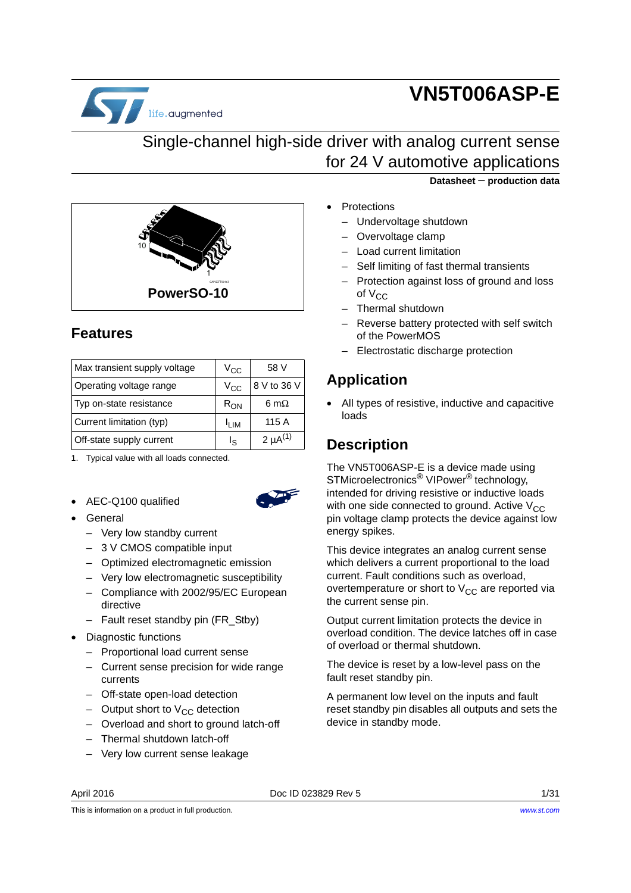

# **VN5T006ASP-E**

### Single-channel high-side driver with analog current sense for 24 V automotive applications



### <span id="page-0-0"></span>**Features**

| Max transient supply voltage | $V_{\rm CC}$     | 58 V            |
|------------------------------|------------------|-----------------|
| Operating voltage range      | Vcc              | 8 V to 36 V     |
| Typ on-state resistance      | $R_{\rm ON}$     | 6 m $\Omega$    |
| Current limitation (typ)     | <sup>I</sup> LIM | 115 A           |
| Off-state supply current     | ءِا              | 2 $\mu A^{(1)}$ |

1. Typical value with all loads connected.

- AEC-Q100 qualified
- General
	- Very low standby current
	- 3 V CMOS compatible input
	- Optimized electromagnetic emission
	- Very low electromagnetic susceptibility
	- Compliance with 2002/95/EC European directive
	- Fault reset standby pin (FR\_Stby)
- Diagnostic functions
	- Proportional load current sense
	- Current sense precision for wide range currents
	- Off-state open-load detection
	- Output short to  $V_{CC}$  detection
	- Overload and short to ground latch-off
	- Thermal shutdown latch-off
	- Very low current sense leakage

**Datasheet** − **production data**

- **Protections**
- Undervoltage shutdown
- Overvoltage clamp
- Load current limitation
- Self limiting of fast thermal transients
- Protection against loss of ground and loss of  $V_{CC}$
- Thermal shutdown
- Reverse battery protected with self switch of the PowerMOS
- Electrostatic discharge protection

### **Application**

• All types of resistive, inductive and capacitive loads

### **Description**

The VN5T006ASP-E is a device made using STMicroelectronics<sup>®</sup> VIPower<sup>®</sup> technology, intended for driving resistive or inductive loads with one side connected to ground. Active  $V_{CC}$ pin voltage clamp protects the device against low energy spikes.

This device integrates an analog current sense which delivers a current proportional to the load current. Fault conditions such as overload, overtemperature or short to  $V_{CC}$  are reported via the current sense pin.

Output current limitation protects the device in overload condition. The device latches off in case of overload or thermal shutdown.

The device is reset by a low-level pass on the fault reset standby pin.

A permanent low level on the inputs and fault reset standby pin disables all outputs and sets the device in standby mode.

April 2016 **Doc ID 023829 Rev 5** 2016 **Doc ID 023829 Rev 5** 2016 1/[31](#page-30-0)

This is information on a product in full production.

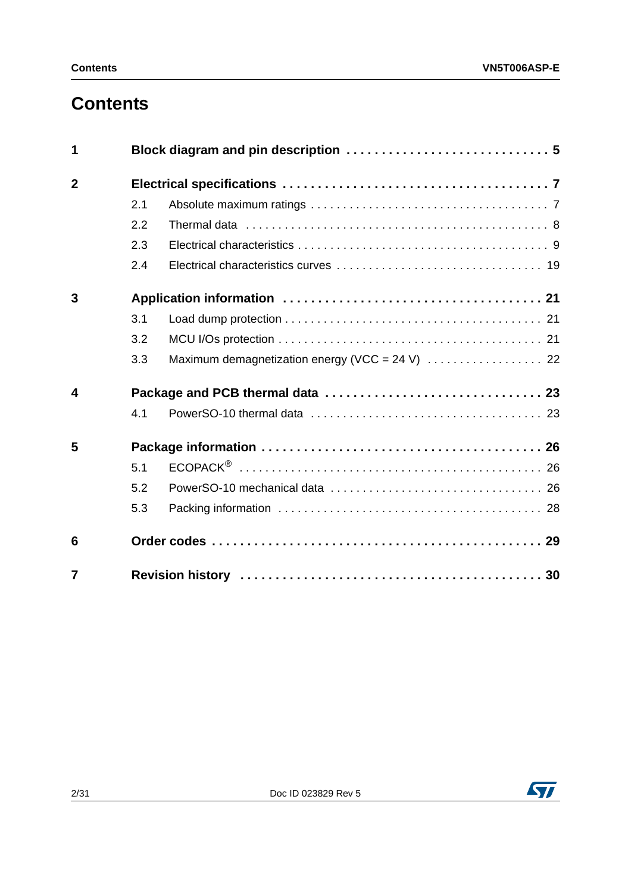# **Contents**

| 1              |     |  |
|----------------|-----|--|
| $\mathbf{2}$   |     |  |
|                | 2.1 |  |
|                | 2.2 |  |
|                | 2.3 |  |
|                | 2.4 |  |
| 3              |     |  |
|                | 3.1 |  |
|                | 3.2 |  |
|                | 3.3 |  |
| 4              |     |  |
|                | 4.1 |  |
| 5              |     |  |
|                | 5.1 |  |
|                | 5.2 |  |
|                | 5.3 |  |
| 6              |     |  |
| $\overline{7}$ |     |  |

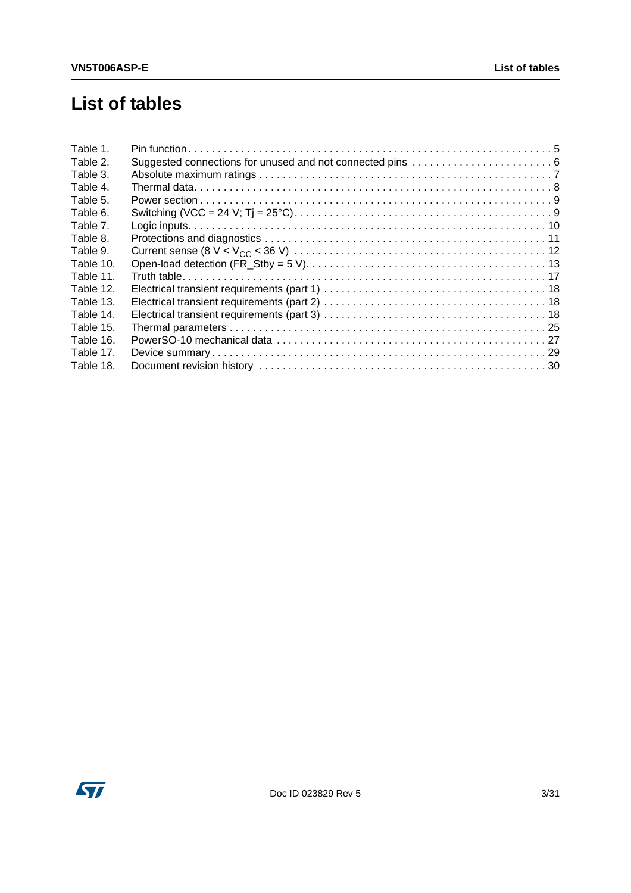# **List of tables**

| Table 1.  |  |
|-----------|--|
| Table 2.  |  |
| Table 3.  |  |
| Table 4.  |  |
| Table 5.  |  |
| Table 6.  |  |
| Table 7.  |  |
| Table 8.  |  |
| Table 9.  |  |
| Table 10. |  |
| Table 11. |  |
| Table 12. |  |
| Table 13. |  |
| Table 14. |  |
| Table 15. |  |
| Table 16. |  |
| Table 17. |  |
| Table 18. |  |

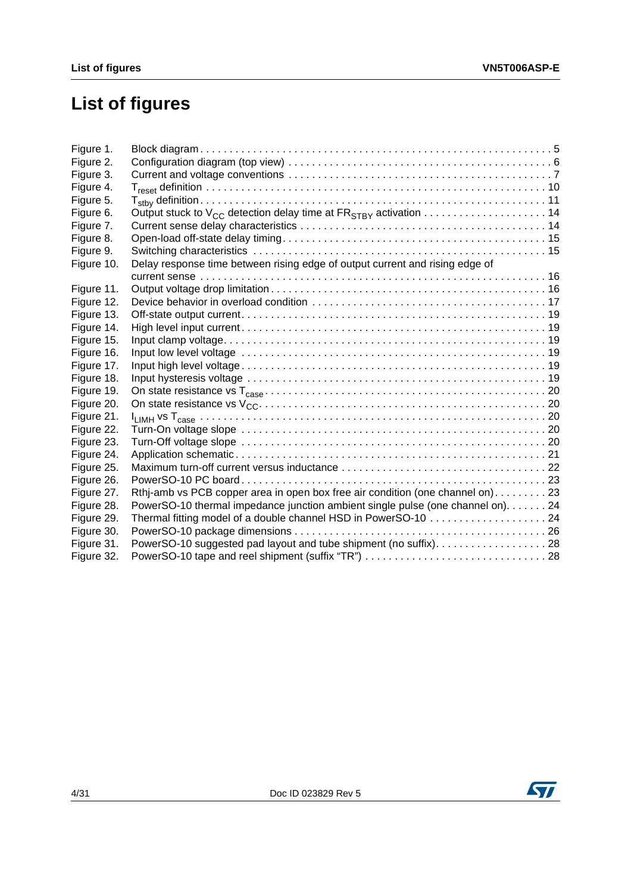# **List of figures**

| Figure 1.  |                                                                                 |  |
|------------|---------------------------------------------------------------------------------|--|
| Figure 2.  |                                                                                 |  |
| Figure 3.  |                                                                                 |  |
| Figure 4.  |                                                                                 |  |
| Figure 5.  |                                                                                 |  |
| Figure 6.  |                                                                                 |  |
| Figure 7.  |                                                                                 |  |
| Figure 8.  |                                                                                 |  |
| Figure 9.  |                                                                                 |  |
| Figure 10. | Delay response time between rising edge of output current and rising edge of    |  |
|            |                                                                                 |  |
| Figure 11. |                                                                                 |  |
| Figure 12. |                                                                                 |  |
| Figure 13. |                                                                                 |  |
| Figure 14. |                                                                                 |  |
| Figure 15. |                                                                                 |  |
| Figure 16. |                                                                                 |  |
| Figure 17. |                                                                                 |  |
| Figure 18. |                                                                                 |  |
| Figure 19. |                                                                                 |  |
| Figure 20. |                                                                                 |  |
| Figure 21. |                                                                                 |  |
| Figure 22. |                                                                                 |  |
| Figure 23. |                                                                                 |  |
| Figure 24. |                                                                                 |  |
| Figure 25. |                                                                                 |  |
| Figure 26. |                                                                                 |  |
| Figure 27. | Rthi-amb vs PCB copper area in open box free air condition (one channel on)23   |  |
| Figure 28. | PowerSO-10 thermal impedance junction ambient single pulse (one channel on). 24 |  |
| Figure 29. |                                                                                 |  |
| Figure 30. |                                                                                 |  |
| Figure 31. | PowerSO-10 suggested pad layout and tube shipment (no suffix)28                 |  |
| Figure 32. |                                                                                 |  |

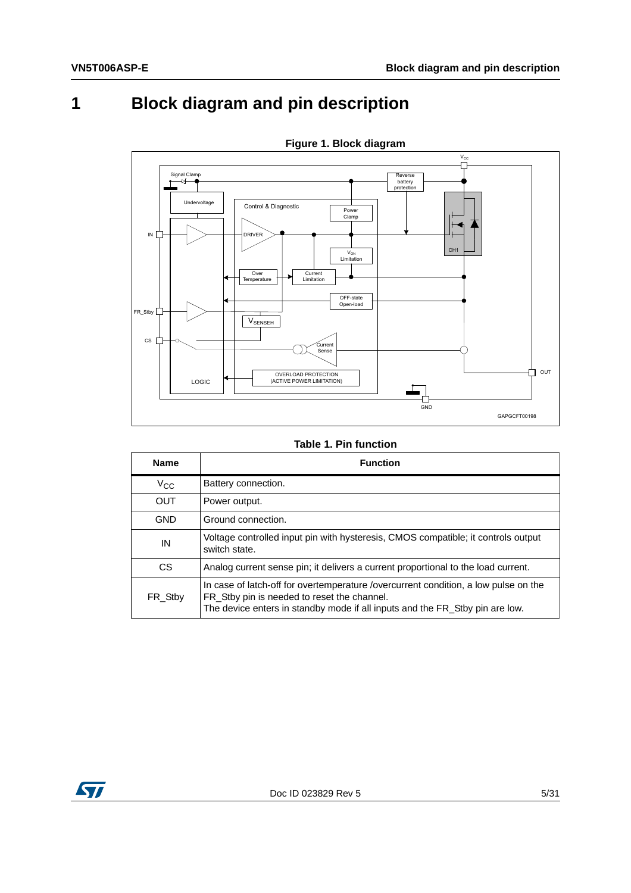# <span id="page-4-0"></span>**1 Block diagram and pin description**

<span id="page-4-2"></span>

**Figure 1. Block diagram**

**Table 1. Pin function**

<span id="page-4-1"></span>

| <b>Name</b> | <b>Function</b>                                                                                                                                                                                                    |
|-------------|--------------------------------------------------------------------------------------------------------------------------------------------------------------------------------------------------------------------|
| $V_{CC}$    | Battery connection.                                                                                                                                                                                                |
| <b>OUT</b>  | Power output.                                                                                                                                                                                                      |
| <b>GND</b>  | Ground connection.                                                                                                                                                                                                 |
| IN          | Voltage controlled input pin with hysteresis, CMOS compatible; it controls output<br>switch state.                                                                                                                 |
| CS          | Analog current sense pin; it delivers a current proportional to the load current.                                                                                                                                  |
| FR Stby     | In case of latch-off for overtemperature /overcurrent condition, a low pulse on the<br>FR_Stby pin is needed to reset the channel.<br>The device enters in standby mode if all inputs and the FR_Stby pin are low. |

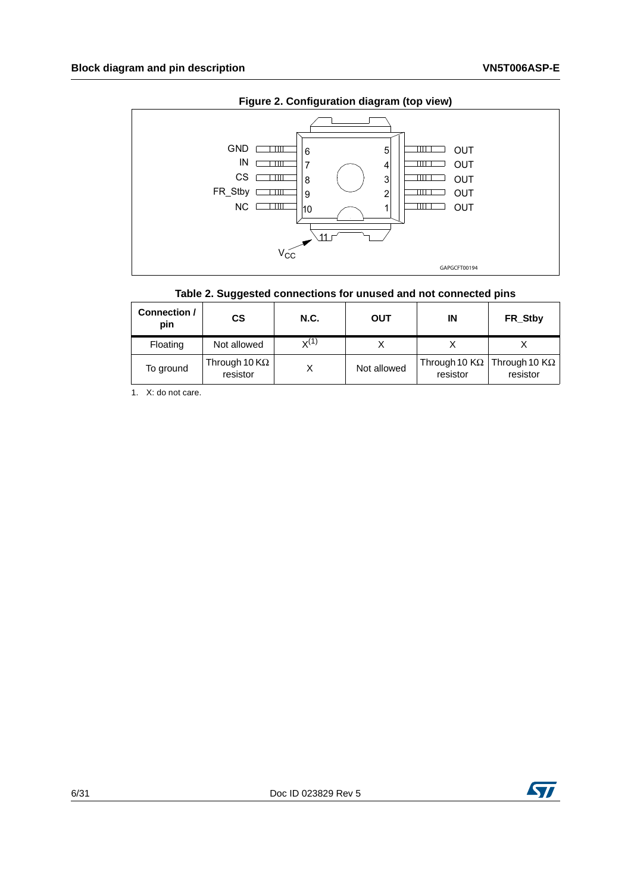<span id="page-5-1"></span>

#### **Figure 2. Configuration diagram (top view)**

#### **Table 2. Suggested connections for unused and not connected pins**

<span id="page-5-0"></span>

| Connection /<br>pin | <b>CS</b>                                 | <b>N.C.</b> | <b>OUT</b>  | ΙN                               | FR_Stby                          |
|---------------------|-------------------------------------------|-------------|-------------|----------------------------------|----------------------------------|
| Floating            | Not allowed                               | $x^{(1)}$   |             |                                  |                                  |
| To ground           | Through 10 $\mathsf{K}\Omega$<br>resistor |             | Not allowed | Through 10 $K\Omega$<br>resistor | Through 10 $K\Omega$<br>resistor |

1. X: do not care.

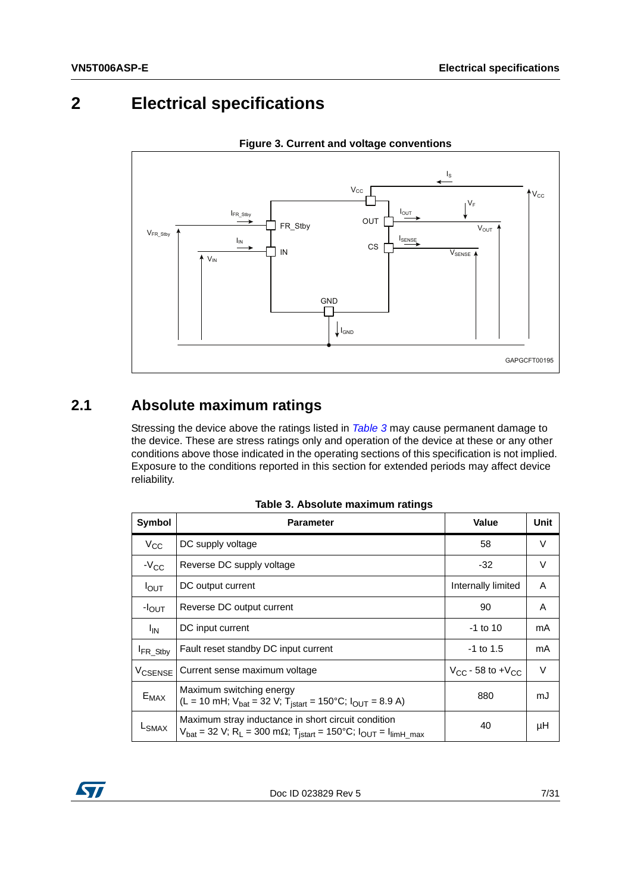### <span id="page-6-0"></span>**2 Electrical specifications**

<span id="page-6-3"></span>

**Figure 3. Current and voltage conventions**

#### <span id="page-6-1"></span>**2.1 Absolute maximum ratings**

Stressing the device above the ratings listed in *[Table 3](#page-6-2)* may cause permanent damage to the device. These are stress ratings only and operation of the device at these or any other conditions above those indicated in the operating sections of this specification is not implied. Exposure to the conditions reported in this section for extended periods may affect device reliability.

<span id="page-6-2"></span>

| Symbol                                                                                                                                                                                                      | <b>Parameter</b>                     | <b>Value</b>                | Unit   |
|-------------------------------------------------------------------------------------------------------------------------------------------------------------------------------------------------------------|--------------------------------------|-----------------------------|--------|
| $V_{CC}$                                                                                                                                                                                                    | DC supply voltage                    | 58                          | V      |
| $-V_{CC}$                                                                                                                                                                                                   | Reverse DC supply voltage            | $-32$                       | V      |
| $I_{OUT}$                                                                                                                                                                                                   | DC output current                    | Internally limited          | A      |
| $-I_{OUT}$                                                                                                                                                                                                  | Reverse DC output current            | 90                          | A      |
| $I_{IN}$                                                                                                                                                                                                    | DC input current                     | $-1$ to 10                  | mA     |
| FR_Stby                                                                                                                                                                                                     | Fault reset standby DC input current | $-1$ to 1.5                 | mA     |
| Current sense maximum voltage<br><b>V<sub>CSENSE</sub></b>                                                                                                                                                  |                                      | $V_{CC}$ - 58 to + $V_{CC}$ | $\vee$ |
| Maximum switching energy<br>$E_{MAX}$<br>$(L = 10 \text{ mH}; V_{bat} = 32 \text{ V}; T_{istart} = 150^{\circ}\text{C}; I_{OUT} = 8.9 \text{ A})$                                                           |                                      | 880                         | mJ     |
| Maximum stray inductance in short circuit condition<br>LSMAX<br>$V_{\text{bat}} = 32 \text{ V}; R_L = 300 \text{ m}\Omega; T_{\text{is tart}} = 150^{\circ}\text{C}; I_{\text{OUT}} = I_{\text{limH\_max}}$ |                                      | 40                          | μH     |

**Table 3. Absolute maximum ratings**

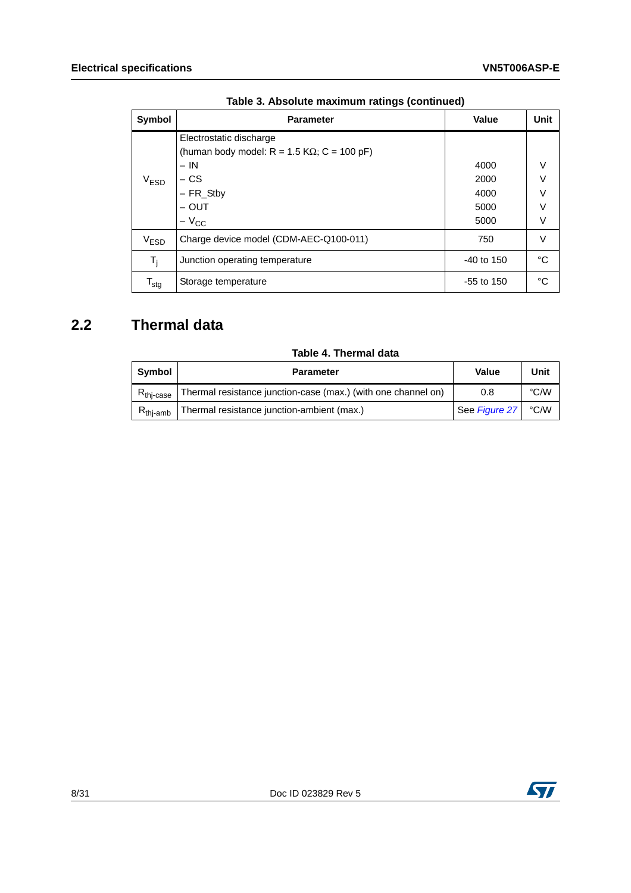| Symbol                    | <b>Parameter</b>                                      | Value        | Unit |
|---------------------------|-------------------------------------------------------|--------------|------|
|                           | Electrostatic discharge                               |              |      |
|                           | (human body model: $R = 1.5$ K $\Omega$ ; C = 100 pF) |              |      |
|                           | $- IN$                                                | 4000         | V    |
| V <sub>ESD</sub>          | $-$ CS                                                | 2000         | V    |
|                           | $-$ FR_Stby                                           | 4000         | V    |
|                           | $-$ OUT                                               | 5000         | V    |
|                           | $-V_{CC}$                                             | 5000         | V    |
| V <sub>ESD</sub>          | Charge device model (CDM-AEC-Q100-011)                | 750          | V    |
| T <sub>i</sub>            | Junction operating temperature                        | $-40$ to 150 | °C   |
| $\mathsf{T}_{\text{stg}}$ | Storage temperature                                   |              | °C   |

**Table 3. Absolute maximum ratings (continued)**

### <span id="page-7-0"></span>**2.2 Thermal data**

| Table 4. Thermal data |
|-----------------------|
|-----------------------|

<span id="page-7-1"></span>

| Symbol                  | <b>Parameter</b>                                              | Value         | Unit |
|-------------------------|---------------------------------------------------------------|---------------|------|
| $R_{\mathsf{thi-case}}$ | Thermal resistance junction-case (max.) (with one channel on) | 0.8           | °C∕W |
| $R_{\text{thi-amb}}$    | Thermal resistance junction-ambient (max.)                    | See Figure 27 | °C/W |

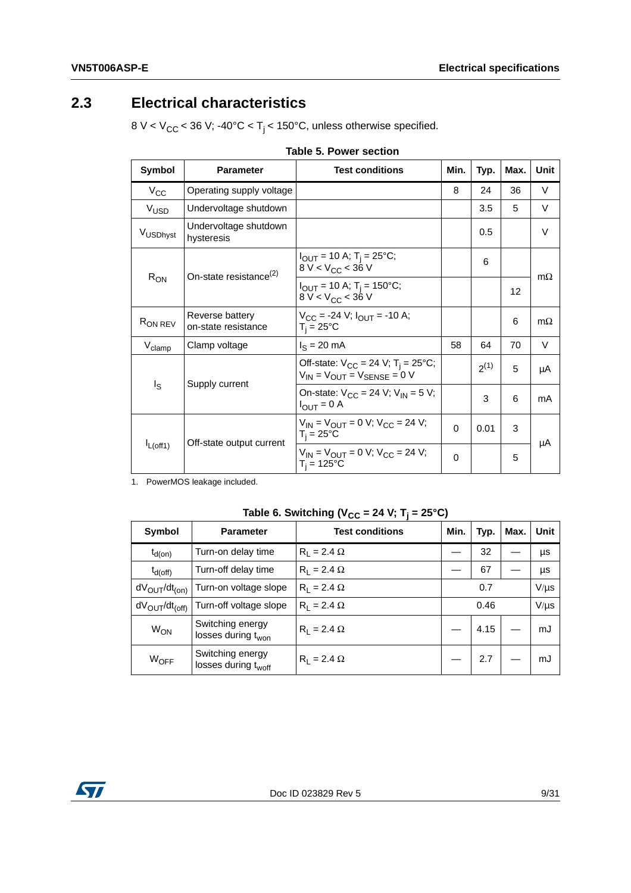### <span id="page-8-0"></span>**2.3 Electrical characteristics**

8 V <  $V_{CC}$  < 36 V; -40°C < T<sub>j</sub> < 150°C, unless otherwise specified.

<span id="page-8-1"></span>

| Symbol              | <b>Parameter</b>                       | <b>Test conditions</b>                                                                         | Min.     | Typ.      | Max. | Unit      |  |
|---------------------|----------------------------------------|------------------------------------------------------------------------------------------------|----------|-----------|------|-----------|--|
| $V_{CC}$            | Operating supply voltage               |                                                                                                | 8        | 24        | 36   | V         |  |
| V <sub>USD</sub>    | Undervoltage shutdown                  |                                                                                                |          | 3.5       | 5    | V         |  |
| VUSDhyst            | Undervoltage shutdown<br>hysteresis    |                                                                                                |          | 0.5       |      | V         |  |
| $R_{ON}$            | On-state resistance <sup>(2)</sup>     | $I_{\text{OUT}}$ = 10 A; T <sub>i</sub> = 25°C;<br>8 V < $V_{CC}$ < 36 V                       |          | 6         |      | $m\Omega$ |  |
|                     |                                        | $I_{OUT}$ = 10 A; T <sub>i</sub> = 150°C;<br>8 V < $V_{CC}$ < 36 V                             |          |           | 12   |           |  |
| R <sub>ON REV</sub> | Reverse battery<br>on-state resistance | $V_{CC}$ = -24 V; $I_{OUT}$ = -10 A;<br>$T_i = 25^{\circ}C$                                    |          |           | 6    | $m\Omega$ |  |
| $V_{\text{clamp}}$  | Clamp voltage                          | $I_S = 20$ mA                                                                                  | 58       | 64        | 70   | V         |  |
| Is                  | Supply current                         | Off-state: $V_{CC}$ = 24 V; T <sub>i</sub> = 25°C;<br>$V_{IN}$ = $V_{OUT}$ = $V_{SENSE}$ = 0 V |          | $2^{(1)}$ | 5    | μA        |  |
|                     |                                        | On-state: $V_{CC}$ = 24 V; $V_{IN}$ = 5 V;<br>$I_{\text{OUT}} = 0$ A                           |          | 3         | 6    | mA        |  |
|                     | Off-state output current               | $V_{IN}$ = $V_{OUIT}$ = 0 V; $V_{CC}$ = 24 V;<br>$T_i = 25^{\circ}C$                           | $\Omega$ | 0.01      | 3    | μA        |  |
| $I_{L(off1)}$       |                                        | $V_{IN}$ = $V_{OUIT}$ = 0 V; $V_{CC}$ = 24 V;<br>$T_i$ = 125°C                                 | $\Omega$ | 5         |      |           |  |

| Table 5. Power section |  |  |  |
|------------------------|--|--|--|
|------------------------|--|--|--|

1. PowerMOS leakage included.

| Table 6. Switching ( $V_{CC}$ = 24 V; T <sub>j</sub> = 25°C) |  |  |
|--------------------------------------------------------------|--|--|
|--------------------------------------------------------------|--|--|

<span id="page-8-2"></span>

| Symbol                                | <b>Parameter</b>                                    | <b>Test conditions</b> | Min. | Typ. | Max. | Unit      |
|---------------------------------------|-----------------------------------------------------|------------------------|------|------|------|-----------|
| $t_{d(on)}$                           | Turn-on delay time                                  | $R_1 = 2.4 \Omega$     |      | 32   |      | μs        |
| $t_{d(off)}$                          | Turn-off delay time                                 | $R_1 = 2.4 \Omega$     |      | 67   |      | μs        |
| dV <sub>OUT</sub> /dt <sub>(on)</sub> | Turn-on voltage slope                               | $R_1 = 2.4 \Omega$     |      | 0.7  |      | $V/\mu s$ |
| $dV_{\text{OUT}}/dt_{\text{(off)}}$   | Turn-off voltage slope                              | $R_1 = 2.4 \Omega$     |      | 0.46 |      | $V/\mu s$ |
| <b>W<sub>ON</sub></b>                 | Switching energy<br>losses during t <sub>won</sub>  | $R_1 = 2.4 \Omega$     |      | 4.15 |      | mJ        |
| WOFF                                  | Switching energy<br>losses during t <sub>woff</sub> | $R_1 = 2.4 \Omega$     |      | 2.7  |      | mJ        |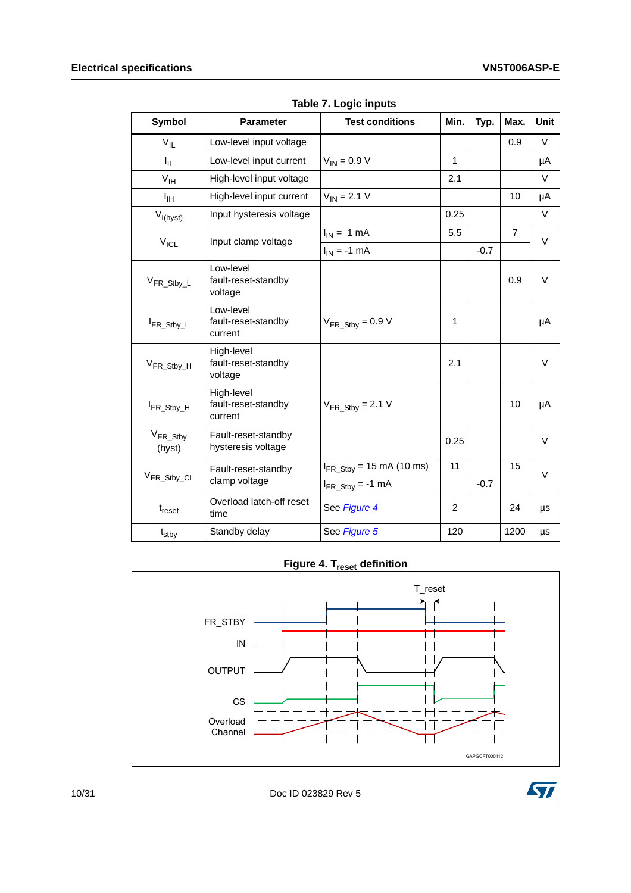<span id="page-9-0"></span>

| <b>Symbol</b>                  | <b>Parameter</b>                             | <b>Test conditions</b>                         | Min.           | Typ.   | Max.           | <b>Unit</b> |
|--------------------------------|----------------------------------------------|------------------------------------------------|----------------|--------|----------------|-------------|
| $V_{IL}$                       | Low-level input voltage                      |                                                |                |        | 0.9            | V           |
| I <sub>IL</sub>                | Low-level input current                      | $V_{IN} = 0.9 V$                               | $\mathbf{1}$   |        |                | μA          |
| $V_{\text{IH}}$                | High-level input voltage                     |                                                | 2.1            |        |                | V           |
| Iн                             | High-level input current                     | $V_{IN} = 2.1 V$                               |                |        | 10             | μA          |
| $V_{I(hyst)}$                  | Input hysteresis voltage                     |                                                | 0.25           |        |                | V           |
|                                | Input clamp voltage                          | $I_{IN}$ = 1 mA                                | 5.5            |        | $\overline{7}$ | $\vee$      |
| $V_{ICL}$                      |                                              | $I_{IN}$ = -1 mA                               |                | $-0.7$ |                |             |
| V <sub>FR_Stby_L</sub>         | Low-level<br>fault-reset-standby<br>voltage  |                                                |                |        | 0.9            | V           |
| FR_Stby_L                      | Low-level<br>fault-reset-standby<br>current  | $V_{FR \text{Stby}} = 0.9 V$                   | 1              |        |                | μA          |
| $V_{FR}$ Stby H                | High-level<br>fault-reset-standby<br>voltage |                                                | 2.1            |        |                | $\vee$      |
| FR_Stby_H                      | High-level<br>fault-reset-standby<br>current | $V_{FR \text{Stby}} = 2.1 \text{ V}$           |                |        | 10             | μA          |
| V <sub>FR_Stby</sub><br>(hyst) | Fault-reset-standby<br>hysteresis voltage    |                                                | 0.25           |        |                | V           |
|                                | Fault-reset-standby                          | $I_{FR\_Stby} = 15 \text{ mA} (10 \text{ ms})$ | 11             |        | 15             | V           |
| V <sub>FR_Stby_CL</sub>        | clamp voltage                                | $I_{FR\_Stby} = -1$ mA                         |                | $-0.7$ |                |             |
| $t_{reset}$                    | Overload latch-off reset<br>time             | See Figure 4                                   | $\overline{c}$ |        | 24             | μs          |
| t <sub>stby</sub>              | Standby delay                                | See Figure 5                                   | 120            |        | 1200           | μs          |

**Table 7. Logic inputs**

**Figure 4. T<sub>reset</sub> definition** 

<span id="page-9-1"></span>

1[0/31](#page-30-0) Doc ID 023829 Rev 5

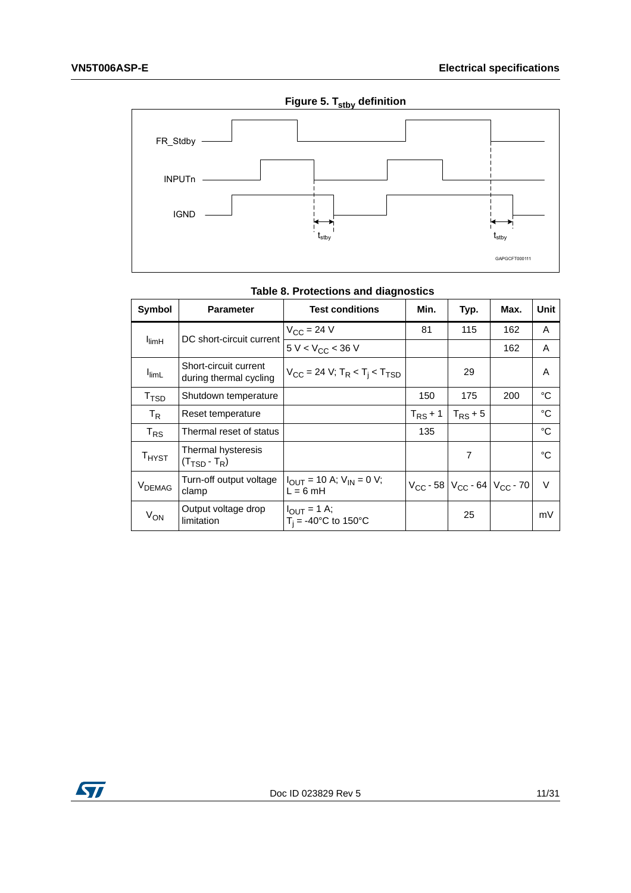<span id="page-10-1"></span>

|  | Figure 5. T <sub>stby</sub> definition |
|--|----------------------------------------|
|  |                                        |

<span id="page-10-0"></span>

| Symbol                      | <b>Parameter</b>                                | <b>Test conditions</b>                                                     | Min.         | Typ.                                      | Max. | Unit |
|-----------------------------|-------------------------------------------------|----------------------------------------------------------------------------|--------------|-------------------------------------------|------|------|
|                             | DC short-circuit current                        | $V_{CC}$ = 24 V                                                            | 81           | 115                                       | 162  | A    |
| $I_{\text{limH}}$           |                                                 | $5 V < V_{CC}$ < 36 V                                                      |              |                                           | 162  | A    |
| $I_{\text{limL}}$           | Short-circuit current<br>during thermal cycling | $V_{\text{CC}}$ = 24 V; T <sub>R</sub> < T <sub>i</sub> < T <sub>TSD</sub> |              | 29                                        |      | A    |
| $\mathsf{T}_{\mathsf{TSD}}$ | Shutdown temperature                            |                                                                            | 150          | 175                                       | 200  | °C   |
| $T_R$                       | Reset temperature                               |                                                                            | $T_{RS}$ + 1 | $T_{RS}$ + 5                              |      | °C   |
| $T_{RS}$                    | Thermal reset of status                         |                                                                            | 135          |                                           |      | °C   |
| $T_{H YST}$                 | Thermal hysteresis<br>$(T_{\text{TSD}} - T_R)$  |                                                                            |              | 7                                         |      | °C   |
| V <sub>DEMAG</sub>          | Turn-off output voltage<br>clamp                | $I_{\text{OUT}}$ = 10 A; $V_{\text{IN}}$ = 0 V;<br>$L = 6$ mH              |              | $V_{CC}$ - 58 $V_{CC}$ - 64 $V_{CC}$ - 70 |      | V    |
| $V_{ON}$                    | Output voltage drop<br>limitation               | $I_{\text{OUT}} = 1 \text{ A};$<br>$T_i = -40^{\circ}C$ to 150°C           |              | 25                                        |      | mV   |

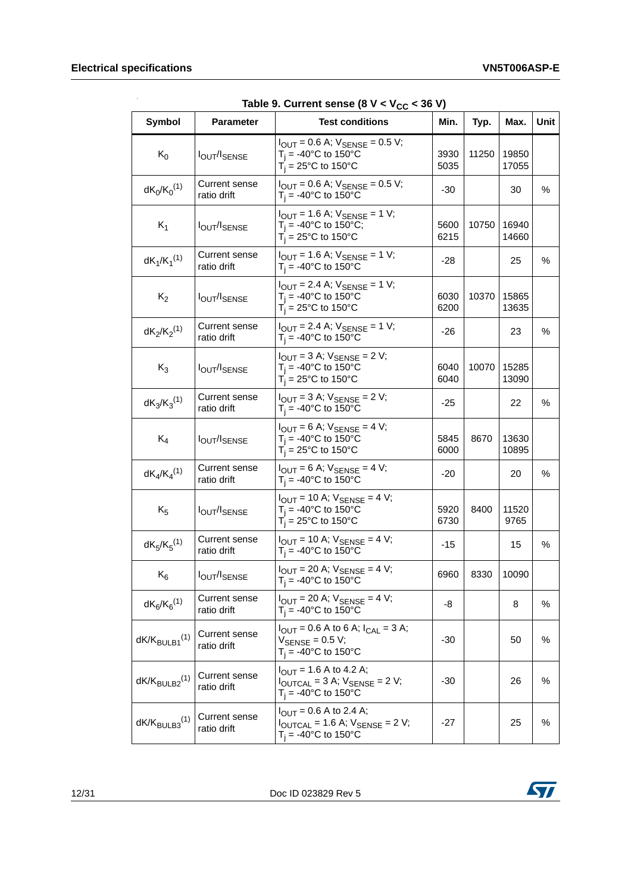| Symbol                      | <b>Parameter</b>                    | rable 5. Current sense (6 $\alpha$ $\lt$ $\alpha$ $\alpha$ $\lt$ $\sim$ 50 $\alpha$ )<br><b>Test conditions</b>                               | Min.         | Typ.  | Max.           | Unit |
|-----------------------------|-------------------------------------|-----------------------------------------------------------------------------------------------------------------------------------------------|--------------|-------|----------------|------|
| $K_0$                       | <b>IOUT/ISENSE</b>                  | $I_{\text{OUT}} = 0.6$ A; $V_{\text{SENSE}} = 0.5$ V;<br>$T_i = -40$ °C to 150°C<br>$T_i = 25^{\circ}$ C to 150°C                             | 3930<br>5035 | 11250 | 19850<br>17055 |      |
| $dK_0/K_0^{(1)}$            | Current sense<br>ratio drift        | $I_{\text{OUT}} = 0.6 \text{ A}$ ; $V_{\text{SENSE}} = 0.5 \text{ V}$ ;<br>$T_i = -40$ °C to 150°C                                            | $-30$        |       | 30             | %    |
| $K_1$                       | <b>IOUT/ISENSE</b>                  | $I_{\text{OUT}} = 1.6 \text{ A}$ ; $V_{\text{SENSE}} = 1 \text{ V}$ ;<br>$T_i = -40$ °C to 150°C;<br>$T_i$ = 25°C to 150°C                    | 5600<br>6215 | 10750 | 16940<br>14660 |      |
| $dK_1/K_1^{(1)}$            | <b>Current sense</b><br>ratio drift | $I_{\text{OUT}} = 1.6 \text{ A}$ ; $V_{\text{SENSE}} = 1 \text{ V}$ ;<br>$T_i = -40$ °C to 150°C                                              | -28          |       | 25             | %    |
| $K_2$                       | <b>IOUT/ISENSE</b>                  | $I_{\text{OUT}} = 2.4$ A; $V_{\text{SENSE}} = 1$ V;<br>$T_i = -40$ °C to 150°C<br>$T_i = 25^{\circ}$ C to 150°C                               | 6030<br>6200 | 10370 | 15865<br>13635 |      |
| $dK_2/K_2^{(1)}$            | Current sense<br>ratio drift        | $I_{OUT} = 2.4$ A; $V_{SENSE} = 1$ V;<br>$T_i = -40$ °C to 150°C                                                                              | -26          |       | 23             | %    |
| $K_3$                       | <b>IOUT/ISENSE</b>                  | $I_{\text{OUT}} = 3 \text{ A}$ ; $V_{\text{SENSE}} = 2 \text{ V}$ ;<br>$T_i = -40$ °C to 150°C<br>$T_i = 25^{\circ}$ C to 150°C               | 6040<br>6040 | 10070 | 15285<br>13090 |      |
| $dK_3/K_3^{(1)}$            | Current sense<br>ratio drift        | $I_{OUT} = 3$ A; $V_{SENSE} = 2$ V;<br>$T_i = -40$ °C to 150°C                                                                                | $-25$        |       | 22             | %    |
| $K_4$                       | <b>I</b> OUT/ISENSE                 | $I_{OUT} = 6$ A; $V_{SENSE} = 4$ V;<br>$T_i = -40$ °C to 150°C<br>$T_i = 25^{\circ}$ C to 150°C                                               | 5845<br>6000 | 8670  | 13630<br>10895 |      |
| $dK_4/K_4^{(1)}$            | <b>Current sense</b><br>ratio drift | $I_{OUT} = 6$ A; $V_{SENSE} = 4$ V;<br>$T_i = -40$ °C to 150°C                                                                                | $-20$        |       | 20             | $\%$ |
| $K_5$                       | <b>I</b> OUT/ISENSE                 | $I_{\text{OUT}} = 10 \text{ A}$ ; $V_{\text{SENSE}} = 4 \text{ V}$ ;<br>$T_i = -40$ °C to 150°C<br>$T_i = 25^{\circ}$ C to 150°C              | 5920<br>6730 | 8400  | 11520<br>9765  |      |
| $dK_5/K_5^{(1)}$            | Current sense<br>ratio drift        | $I_{OUT} = 10 A; V_{SENSE} = 4 V;$<br>$T_i = -40$ °C to 150°C                                                                                 | $-15$        |       | 15             | %    |
| $\rm K_6$                   | <b>I</b> OUT/ISENSE                 | $I_{OUT}$ = 20 A; $V_{SENSE}$ = 4 V;<br>$T_i = -40$ °C to 150°C                                                                               | 6960         | 8330  | 10090          |      |
| $dK_6/K_6^{(1)}$            | Current sense<br>ratio drift        | $I_{\text{OUT}} = 20 \text{ A}$ ; $V_{\text{SENSE}} = 4 \text{ V}$ ;<br>$T_i = -40$ °C to 150°C                                               | -8           |       | 8              | %    |
| $dK/K_{BULB1}^{(1)}$        | <b>Current sense</b><br>ratio drift | $I_{\text{OUT}} = 0.6$ A to 6 A; $I_{\text{CAL}} = 3$ A;<br>$V_{\text{SENSE}} = 0.5 V$ ;<br>$T_i = -40^{\circ}C$ to 150°C                     | -30          |       | 50             | %    |
| $dK/K_{\text{BULB2}}^{(1)}$ | <b>Current sense</b><br>ratio drift | $I_{\text{OUT}} = 1.6 \text{ A}$ to 4.2 A;<br>$I_{\text{OUTCAL}} = 3$ A; $V_{\text{SENSE}} = 2$ V;<br>$T_i = -40^{\circ}C$ to 150 $^{\circ}C$ | $-30$        |       | 26             | %    |
| $dK/K_{BULB3}^{(1)}$        | <b>Current sense</b><br>ratio drift | $I_{\text{OUT}} = 0.6$ A to 2.4 A;<br>$I_{\text{OUTCAL}}$ = 1.6 A; $V_{\text{SENSE}}$ = 2 V;<br>$T_i = -40$ °C to 150°C                       | $-27$        |       | 25             | %    |

<span id="page-11-0"></span> $Table 9. Current sense (8 V < V_{\text{eq}} < 36 V)$ 

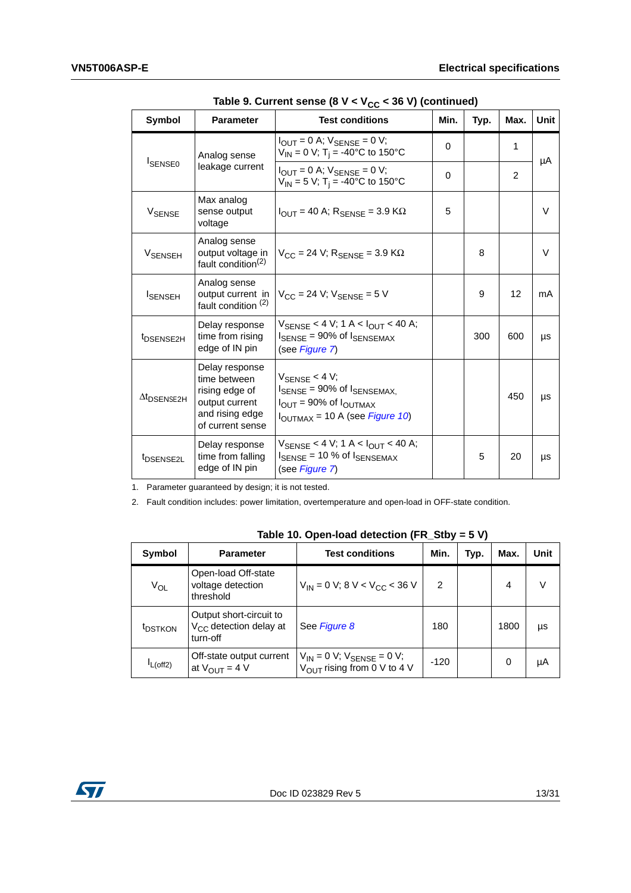| <b>Symbol</b>                  | <b>Parameter</b>                                                                                          | able 5. Our left sense to $\mathbf{v} \cdot \mathbf{r}$ (c) $\mathbf{v} \cdot \mathbf{r}$ to $\mathbf{v}$ to the continuour<br><b>Test conditions</b>            | Min. | Typ. | Max. | <b>Unit</b> |
|--------------------------------|-----------------------------------------------------------------------------------------------------------|------------------------------------------------------------------------------------------------------------------------------------------------------------------|------|------|------|-------------|
|                                | Analog sense                                                                                              | $I_{\text{OUT}} = 0$ A; $V_{\text{SENSE}} = 0$ V;<br>$V_{IN} = 0 V$ ; T <sub>i</sub> = -40°C to 150°C                                                            | 0    |      | 1    |             |
| <b>ISENSEO</b>                 | leakage current                                                                                           | $I_{\text{OUT}} = 0$ A; $V_{\text{SENSE}} = 0$ V;<br>$V_{IN}$ = 5 V; T <sub>i</sub> = -40°C to 150°C                                                             | 0    |      | 2    | μA          |
| V <sub>SENSE</sub>             | Max analog<br>sense output<br>voltage                                                                     | $I_{\text{OUT}}$ = 40 A; $R_{\text{SFNSF}}$ = 3.9 K $\Omega$                                                                                                     | 5    |      |      | V           |
| <b>V<sub>SENSEH</sub></b>      | Analog sense<br>output voltage in<br>fault condition <sup>(2)</sup>                                       | $V_{CC}$ = 24 V; $R_{SENSE}$ = 3.9 K $\Omega$                                                                                                                    |      | 8    |      | V           |
| <b>I</b> SENSEH                | Analog sense<br>output current in<br>fault condition <sup>(2)</sup>                                       | $V_{CC}$ = 24 V; $V_{SENSE}$ = 5 V                                                                                                                               |      | 9    | 12   | mA          |
| t <sub>DSENSE2H</sub>          | Delay response<br>time from rising<br>edge of IN pin                                                      | $V_{\text{SENSE}}$ < 4 V; 1 A < $I_{\text{OUT}}$ < 40 A;<br>$I_{\text{SENSE}}$ = 90% of $I_{\text{SENSEMAX}}$<br>(see Figure 7)                                  |      | 300  | 600  | μs          |
| $\Delta t$ <sub>DSENSE2H</sub> | Delay response<br>time between<br>rising edge of<br>output current<br>and rising edge<br>of current sense | $V_{\text{SFNSF}} < 4 V$ ;<br>$I_{\text{SENSE}}$ = 90% of $I_{\text{SENSEMAX}}$<br>$I_{OUT}$ = 90% of $I_{OUTMAX}$<br>I <sub>OUTMAX</sub> = 10 A (see Figure 10) |      |      | 450  | μs          |
| t <sub>DSENSE2L</sub>          | Delay response<br>time from falling<br>edge of IN pin                                                     | $V_{\text{SFNSF}}$ < 4 V; 1 A < $I_{\text{OUT}}$ < 40 A;<br>$I_{\text{SENSE}}$ = 10 % of $I_{\text{SENSEMAX}}$<br>(see Figure 7)                                 |      | 5    | 20   | μs          |

Table 9. Current sense (8 V < V<sub>cc</sub> < 36 V) (continued)

1. Parameter guaranteed by design; it is not tested.

2. Fault condition includes: power limitation, overtemperature and open-load in OFF-state condition.

<span id="page-12-0"></span>

| Symbol              | <b>Parameter</b>                                                          | <b>Test conditions</b>                                                          | Min. | Typ. | Max. | Unit |
|---------------------|---------------------------------------------------------------------------|---------------------------------------------------------------------------------|------|------|------|------|
| $V_{OL}$            | Open-load Off-state<br>voltage detection<br>threshold                     | $V_{IN}$ = 0 V; 8 V < V <sub>CC</sub> < 36 V                                    | 2    |      | 4    | V    |
| <sup>t</sup> DSTKON | Output short-circuit to<br>V <sub>CC</sub> detection delay at<br>turn-off | See Figure 8                                                                    | 180  |      | 1800 | μs   |
| $L$ (off2)          | Off-state output current<br>at $V_{\text{OUT}} = 4 V$                     | $V_{IN} = 0 V$ ; $V_{SENSE} = 0 V$ ;<br>$V_{\text{OUT}}$ rising from 0 V to 4 V | -120 |      | 0    | μA   |

**Table 10. Open-load detection (FR\_Stby = 5 V)**

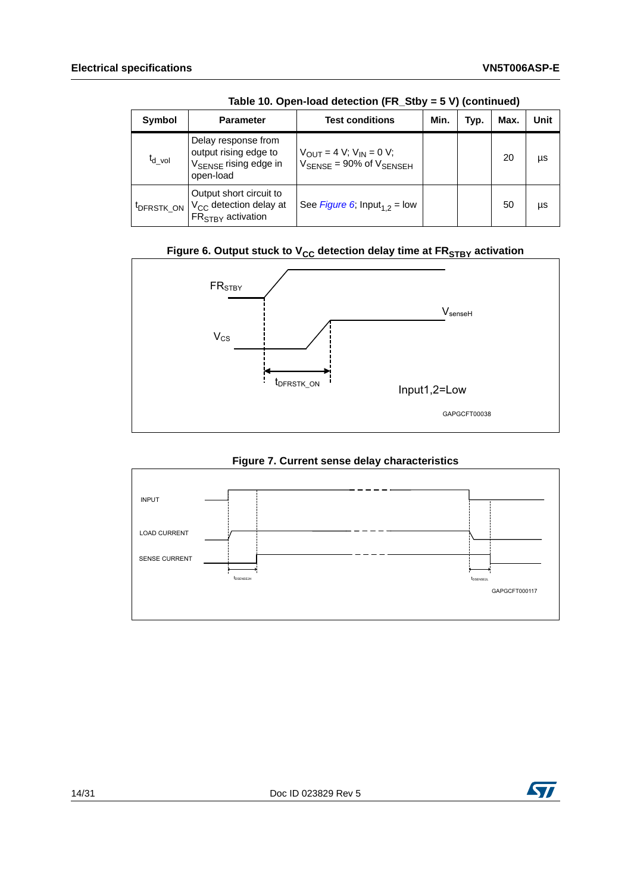| Symbol                 | <b>Parameter</b>                                                                               | <b>Test conditions</b>                                                                                                  | Min. | Typ. | Max. | Unit |
|------------------------|------------------------------------------------------------------------------------------------|-------------------------------------------------------------------------------------------------------------------------|------|------|------|------|
| $t_{d\_vol}$           | Delay response from<br>output rising edge to<br>V <sub>SENSE</sub> rising edge in<br>open-load | $V_{\text{OUT}} = 4 \text{ V}; V_{\text{IN}} = 0 \text{ V};$<br>$V_{\text{SENSE}} = 90\% \text{ of } V_{\text{SENSEH}}$ |      |      | 20   | μs   |
| <sup>t</sup> DFRSTK ON | Output short circuit to<br>V <sub>CC</sub> detection delay at<br>FR <sub>STRY</sub> activation | See Figure 6; $Input_{1,2} = low$                                                                                       |      |      | 50   | μs   |

**Table 10. Open-load detection (FR\_Stby = 5 V) (continued)**

### **Figure 6. Output stuck to V<sub>CC</sub> detection delay time at FR<sub>STBY</sub> activation**

<span id="page-13-0"></span>

<span id="page-13-1"></span>

#### **Figure 7. Current sense delay characteristics**

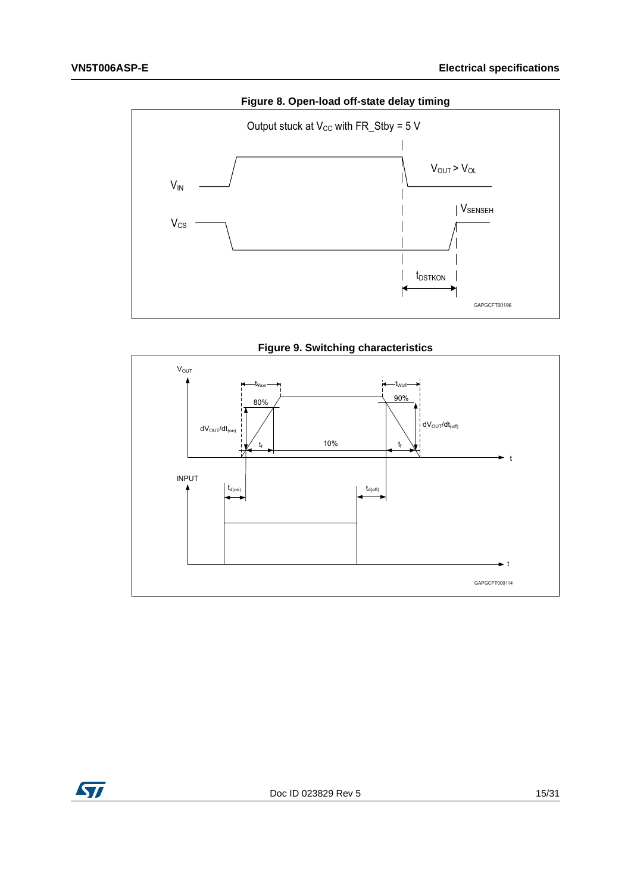<span id="page-14-0"></span>

**Figure 9. Switching characteristics**

<span id="page-14-1"></span>

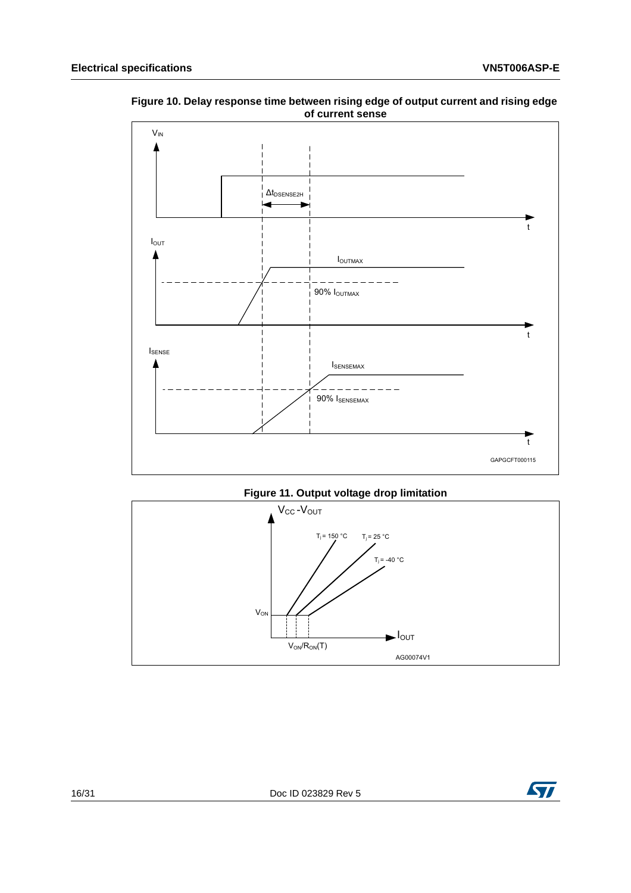

<span id="page-15-0"></span>**Figure 10. Delay response time between rising edge of output current and rising edge of current sense**



<span id="page-15-1"></span>

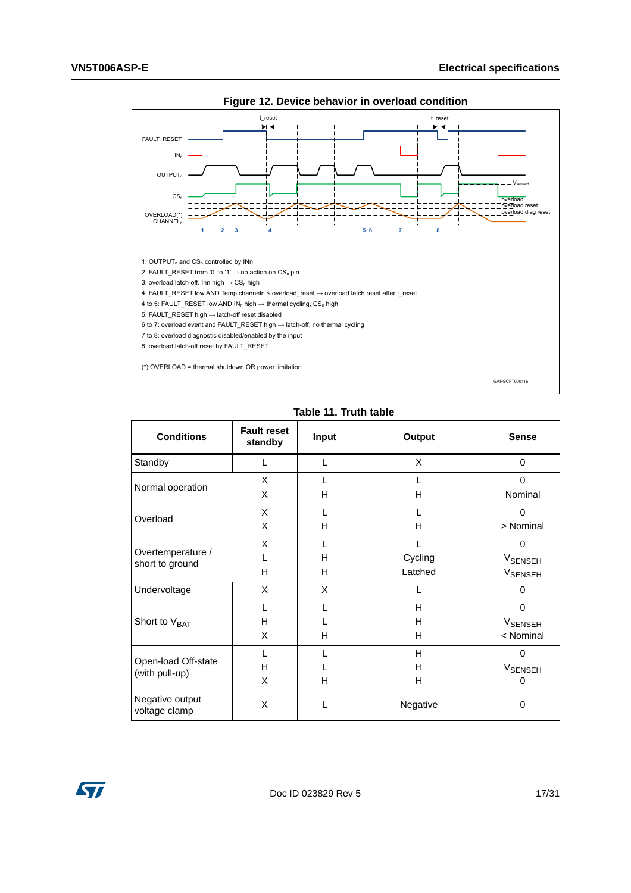<span id="page-16-1"></span>

**Figure 12. Device behavior in overload condition** 

| Table 11. Truth table |       |      |  |  |  |
|-----------------------|-------|------|--|--|--|
| eset<br>hv            | Input | Outp |  |  |  |

<span id="page-16-0"></span>

| <b>Conditions</b>                     | <b>Fault reset</b><br>standby | Input | Output   | <b>Sense</b>              |
|---------------------------------------|-------------------------------|-------|----------|---------------------------|
| Standby                               |                               | L     | X        | 0                         |
| Normal operation                      | X                             | L     |          | $\Omega$                  |
|                                       | X                             | H     | H        | Nominal                   |
| Overload                              | X                             | L     |          | 0                         |
|                                       | X                             | H     | H        | > Nominal                 |
|                                       | X                             | L     |          | $\Omega$                  |
| Overtemperature /<br>short to ground  |                               | H     | Cycling  | <b>V</b> SENSEH           |
|                                       | H                             | H     | Latched  | <b>V<sub>SENSEH</sub></b> |
| Undervoltage                          | X                             | X     |          | $\Omega$                  |
|                                       |                               | L     | H        | $\Omega$                  |
| Short to V <sub>BAT</sub>             | H                             |       | H        | <b>V<sub>SENSEH</sub></b> |
|                                       | X                             | H     | н        | < Nominal                 |
|                                       |                               |       | H        | $\Omega$                  |
| Open-load Off-state<br>(with pull-up) | H                             |       | H        | <b>V<sub>SENSEH</sub></b> |
|                                       | X                             | н     | н        | $\Omega$                  |
| Negative output<br>voltage clamp      | X                             | L     | Negative | 0                         |

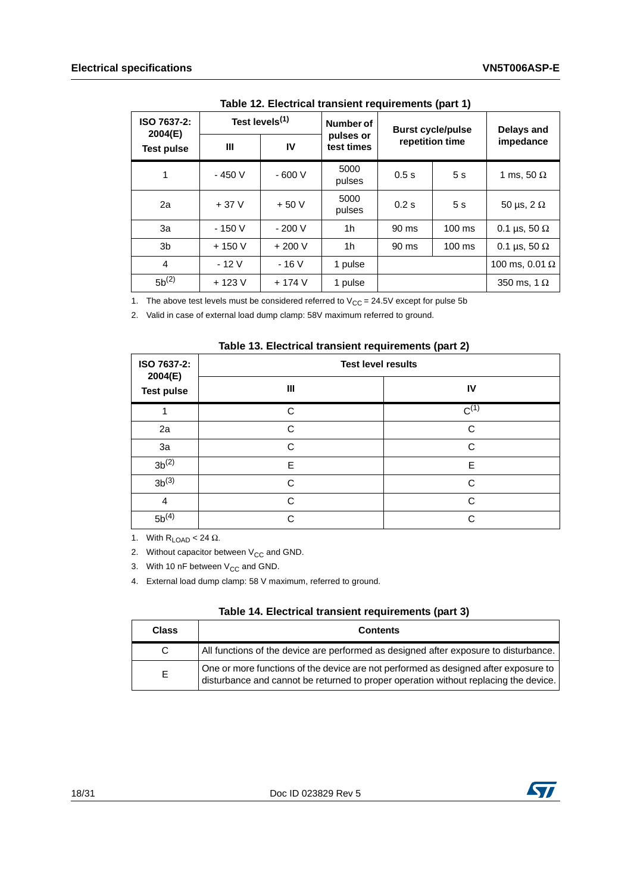<span id="page-17-0"></span>

| ISO 7637-2:<br>2004(E) | Test levels <sup>(1)</sup> |         | Number of               | <b>Burst cycle/pulse</b> |                  | <b>Delays and</b>     |
|------------------------|----------------------------|---------|-------------------------|--------------------------|------------------|-----------------------|
| <b>Test pulse</b>      | Ш                          | IV      | pulses or<br>test times | repetition time          |                  | impedance             |
| 1                      | $-450V$                    | $-600V$ | 5000<br>pulses          | 0.5s                     | 5s               | 1 ms, 50 $\Omega$     |
| 2a                     | $+37V$                     | $+50V$  | 5000<br>pulses          | 0.2s                     | 5s               | 50 µs, $2 \Omega$     |
| За                     | $-150V$                    | $-200V$ | 1h                      | 90 ms                    | $100 \text{ ms}$ | 0.1 µs, 50 $\Omega$   |
| 3b                     | $+150V$                    | $+200V$ | 1h                      | 90 ms                    | $100 \text{ ms}$ | 0.1 µs, 50 $\Omega$   |
| $\overline{4}$         | $-12V$                     | $-16V$  | 1 pulse                 |                          |                  | 100 ms, 0.01 $\Omega$ |
| $5b^{(2)}$             | $+123V$                    | $+174V$ | 1 pulse                 |                          |                  | 350 ms, 1 $\Omega$    |

**Table 12. Electrical transient requirements (part 1)**

1. The above test levels must be considered referred to  $V_{CC} = 24.5V$  except for pulse 5b

2. Valid in case of external load dump clamp: 58V maximum referred to ground.

<span id="page-17-1"></span>

| ISO 7637-2:<br>2004(E)<br><b>Test pulse</b> | <b>Test level results</b> |           |  |
|---------------------------------------------|---------------------------|-----------|--|
|                                             | Ш                         | IV        |  |
|                                             | C                         | $C^{(1)}$ |  |
| 2a                                          | C                         | C         |  |
| 3a                                          | C                         | C         |  |
| $3b^{(2)}$                                  | E                         | E         |  |
| $3b^{(3)}$                                  | C                         | C         |  |
| $\overline{4}$                              | $\cap$                    | C.        |  |
| $5b^{(4)}$                                  | C.                        | C         |  |

1. With  $R_{LOAD} < 24 \Omega$ .

2. Without capacitor between  $V_{CC}$  and GND.

3. With 10 nF between  $V_{CC}$  and GND.

4. External load dump clamp: 58 V maximum, referred to ground.

<span id="page-17-2"></span>

| <b>Class</b> | <b>Contents</b>                                                                                                                                                             |
|--------------|-----------------------------------------------------------------------------------------------------------------------------------------------------------------------------|
| C.           | All functions of the device are performed as designed after exposure to disturbance.                                                                                        |
| E.           | One or more functions of the device are not performed as designed after exposure to<br>disturbance and cannot be returned to proper operation without replacing the device. |

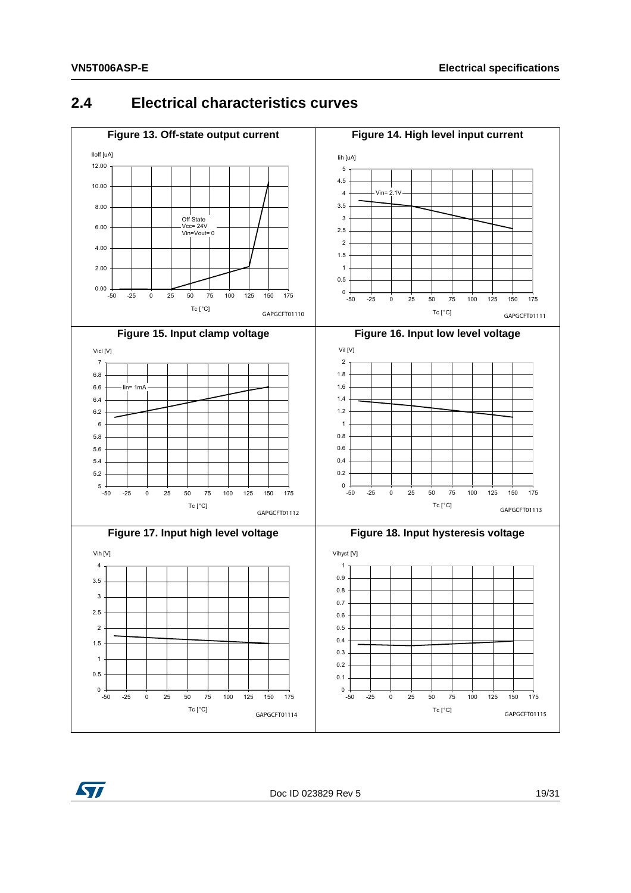#### <span id="page-18-2"></span><span id="page-18-0"></span>**2.4 Electrical characteristics curves**

<span id="page-18-4"></span><span id="page-18-3"></span><span id="page-18-1"></span>

<span id="page-18-5"></span>

<span id="page-18-6"></span>Doc ID 023829 Rev 5 19/[31](#page-30-0)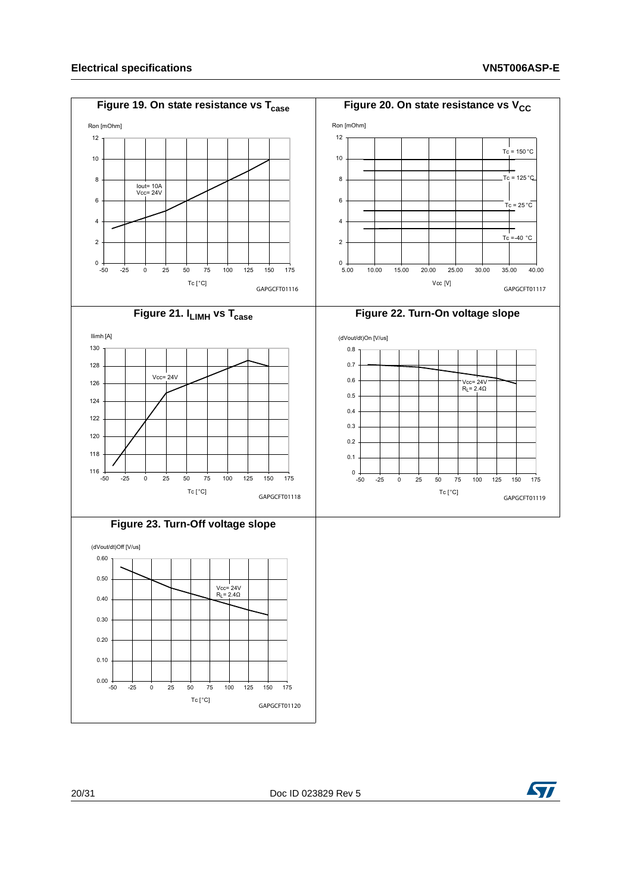<span id="page-19-4"></span><span id="page-19-3"></span><span id="page-19-2"></span><span id="page-19-1"></span><span id="page-19-0"></span>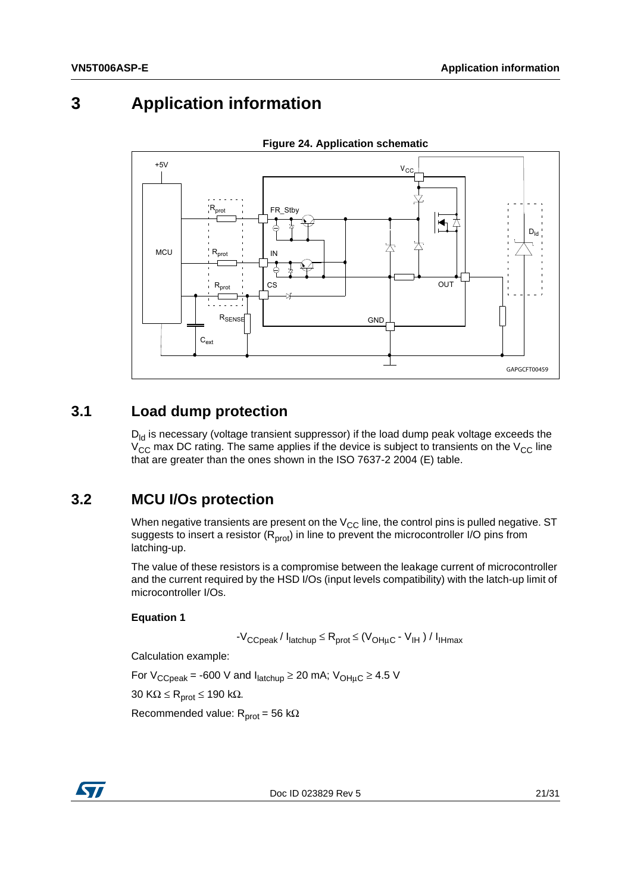# <span id="page-20-0"></span>**3 Application information**

<span id="page-20-3"></span>

**Figure 24. Application schematic**

#### <span id="page-20-1"></span>**3.1 Load dump protection**

 $D_{\text{Id}}$  is necessary (voltage transient suppressor) if the load dump peak voltage exceeds the  $V_{\text{CC}}$  max DC rating. The same applies if the device is subject to transients on the  $V_{\text{CC}}$  line that are greater than the ones shown in the ISO 7637-2 2004 (E) table.

#### <span id="page-20-2"></span>**3.2 MCU I/Os protection**

When negative transients are present on the  $V_{CC}$  line, the control pins is pulled negative. ST suggests to insert a resistor  $(R_{prot})$  in line to prevent the microcontroller I/O pins from latching-up.

The value of these resistors is a compromise between the leakage current of microcontroller and the current required by the HSD I/Os (input levels compatibility) with the latch-up limit of microcontroller I/Os.

#### **Equation 1**

 $-V_{\text{CCpeak}}/ I_{\text{latchup}} \leq R_{\text{prot}} \leq (V_{\text{OH}\mu\text{C}} - V_{\text{IH}}) / I_{\text{IHmax}}$ 

Calculation example:

For  $V_{CCpeak}$  = -600 V and  $I_{\text{latchup}} \ge 20$  mA;  $V_{\text{OH}\mu\text{C}} \ge 4.5$  V

30 KΩ  $\leq$  R<sub>prot</sub>  $\leq$  190 kΩ.

Recommended value:  $R_{prot} = 56 k\Omega$ 



Doc ID 023829 Rev 5 21/[31](#page-30-0)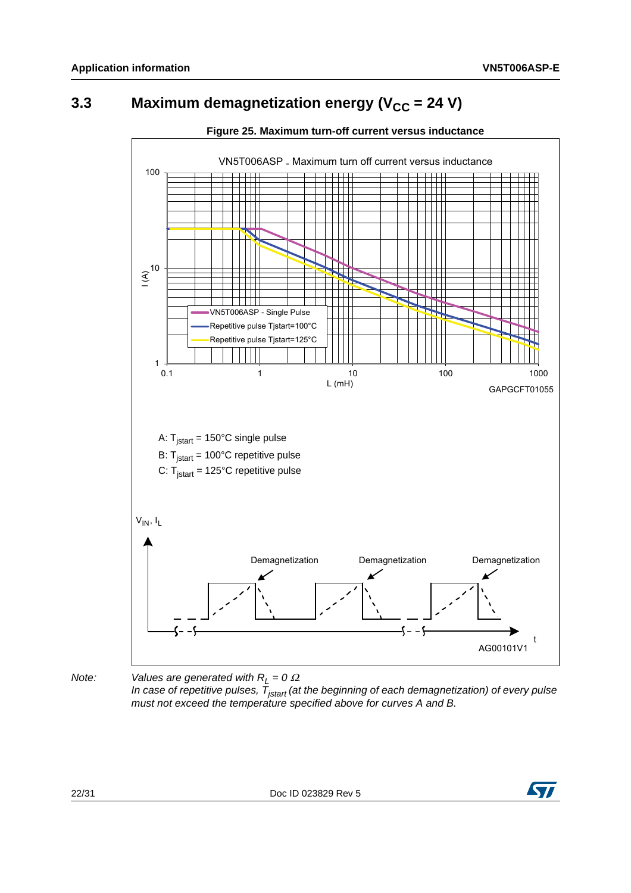# <span id="page-21-0"></span>**3.3** Maximum demagnetization energy (V<sub>CC</sub> = 24 V)

<span id="page-21-1"></span>

#### **Figure 25. Maximum turn-off current versus inductance**

*Note: Values are generated with*  $R_L = 0 \Omega$ *.* 

*In case of repetitive pulses, Tjstart (at the beginning of each demagnetization) of every pulse must not exceed the temperature specified above for curves A and B.*

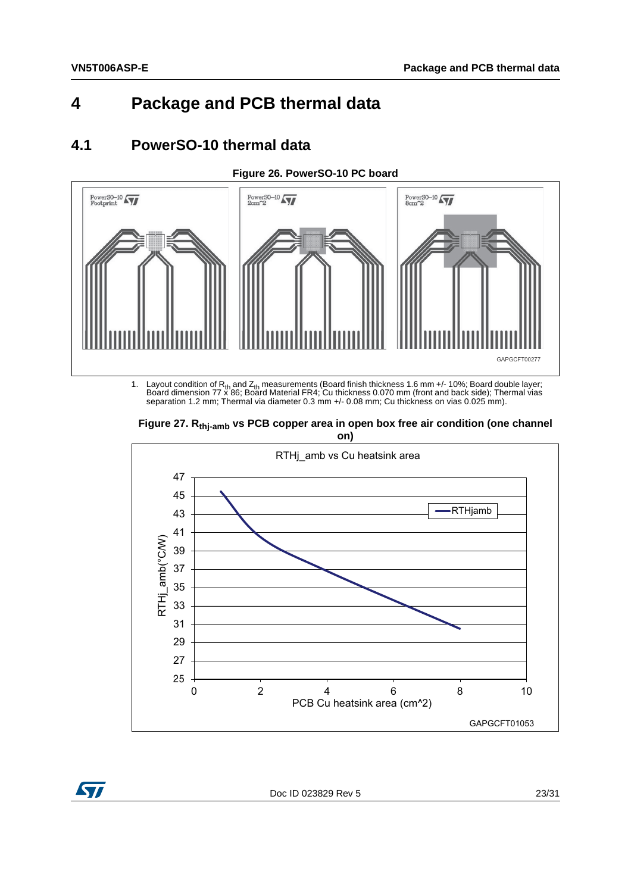### <span id="page-22-0"></span>**4 Package and PCB thermal data**

#### <span id="page-22-1"></span>**4.1 PowerSO-10 thermal data**



<span id="page-22-2"></span>

1. Layout condition of R<sub>th</sub> and Z<sub>th</sub> measurements (Board finish thickness 1.6 mm +/- 10%; Board double layer;<br>Board dimension 77 x 86; Board Material FR4; Cu thickness 0.070 mm (front and back side); Thermal vias separation 1.2 mm; Thermal via diameter 0.3 mm +/- 0.08 mm; Cu thickness on vias 0.025 mm).

<span id="page-22-3"></span>

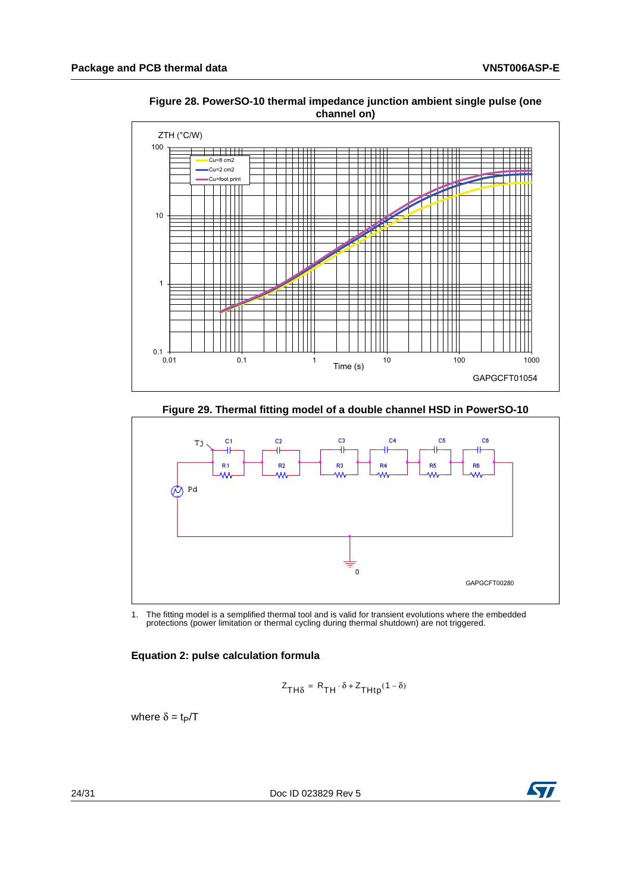

<span id="page-23-0"></span>**Figure 28. PowerSO-10 thermal impedance junction ambient single pulse (one channel on)** 

**Figure 29. Thermal fitting model of a double channel HSD in PowerSO-10**

<span id="page-23-1"></span>

1. The fitting model is a semplified thermal tool and is valid for transient evolutions where the embedded protections (power limitation or thermal cycling during thermal shutdown) are not triggered.

#### **Equation 2: pulse calculation formula**

$$
Z_{TH\delta} = R_{TH} \cdot \delta + Z_{THtp}(1 - \delta)
$$

where  $\delta = t_P/T$ 

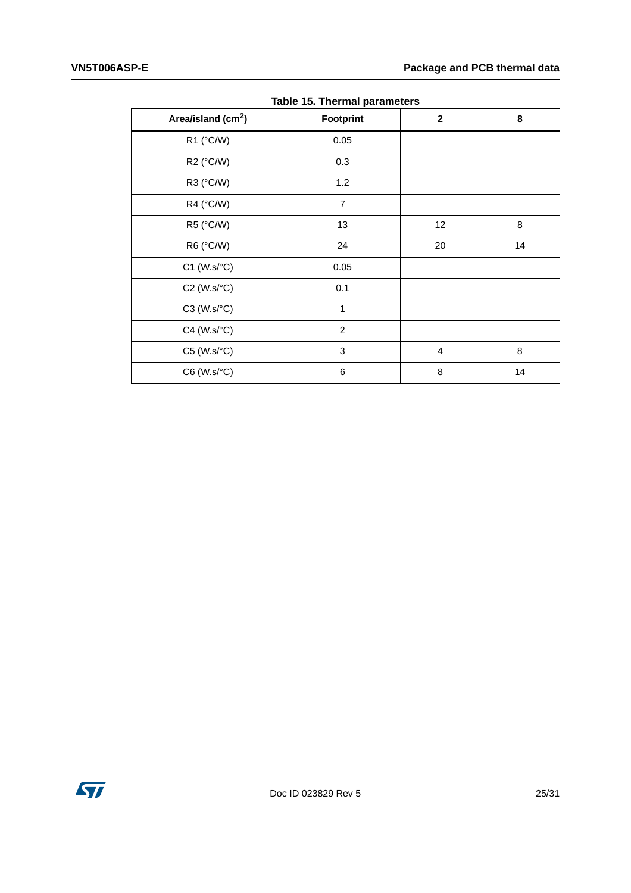<span id="page-24-0"></span>

| Area/island (cm <sup>2</sup> ) | rapic to: Therman parameters<br><b>Footprint</b> | $\mathbf{2}$   | 8  |
|--------------------------------|--------------------------------------------------|----------------|----|
| R1 (°C/W)                      | 0.05                                             |                |    |
| R2 (°C/W)                      | 0.3                                              |                |    |
| R3 (°C/W)                      | 1.2                                              |                |    |
| R4 (°C/W)                      | $\overline{7}$                                   |                |    |
| R5 (°C/W)                      | 13                                               | 12             | 8  |
| R6 (°C/W)                      | 24                                               | 20             | 14 |
| $C1$ (W.s/ $°C$ )              | 0.05                                             |                |    |
| $C2$ (W.s/ $°C$ )              | 0.1                                              |                |    |
| $C3$ (W.s/ $°C$ )              | $\mathbf{1}$                                     |                |    |
| $C4$ (W.s/ $\textdegree C$ )   | $\overline{2}$                                   |                |    |
| $C5$ (W.s/ $°C$ )              | 3                                                | $\overline{4}$ | 8  |
| $C6$ (W.s/ $°C$ )              | 6                                                | 8              | 14 |

**Table 15. Thermal parameters**

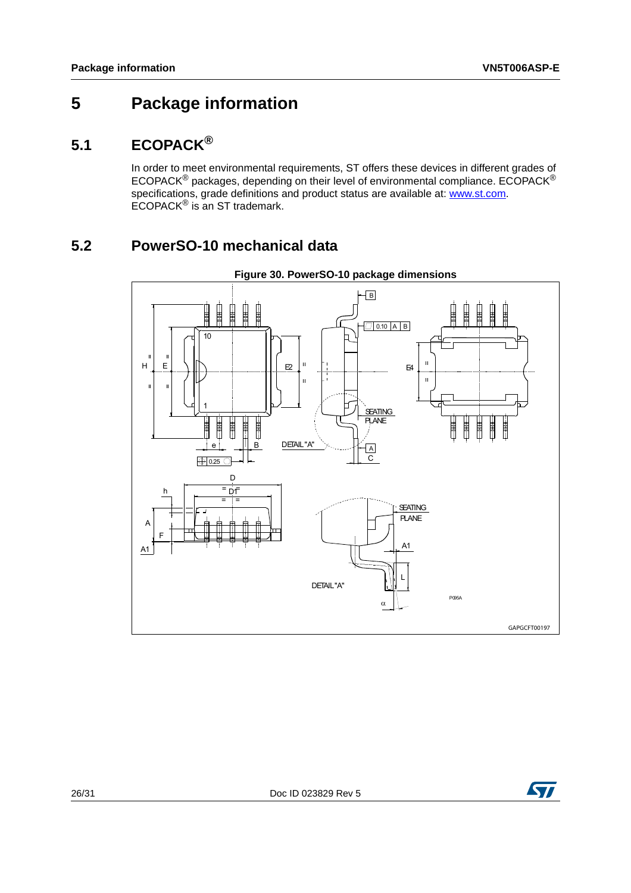# <span id="page-25-0"></span>**5 Package information**

### <span id="page-25-1"></span>**5.1 ECOPACK®**

In order to meet environmental requirements, ST offers these devices in different grades of ECOPACK<sup>®</sup> packages, depending on their level of environmental compliance. ECOPACK<sup>®</sup> specifications, grade definitions and product status are available at: **www.st.com**. ECOPACK® is an ST trademark.

### <span id="page-25-2"></span>**5.2 PowerSO-10 mechanical data**

<span id="page-25-3"></span>

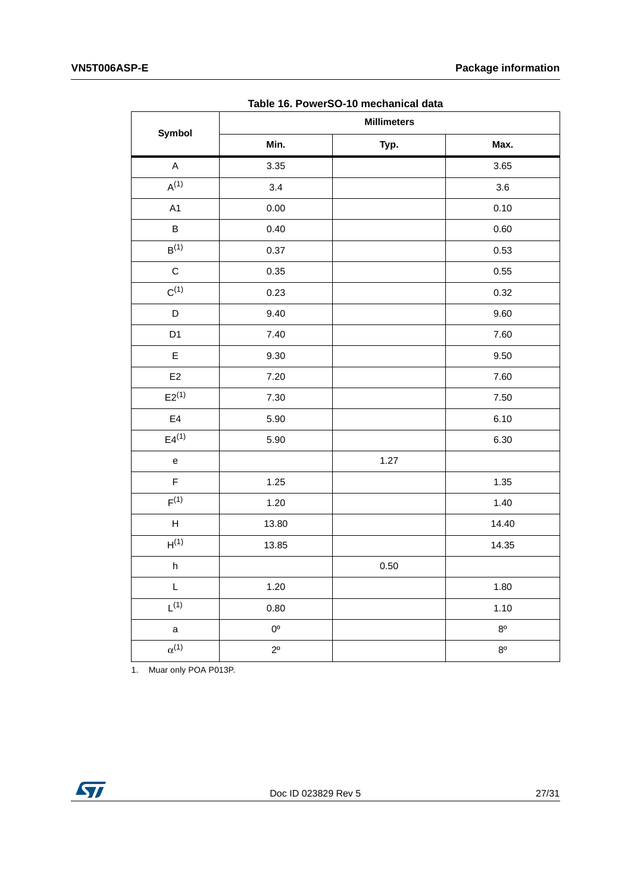<span id="page-26-0"></span>

| Symbol                                                      | rapic To. I Oncloo To Incondition data<br><b>Millimeters</b> |      |             |  |
|-------------------------------------------------------------|--------------------------------------------------------------|------|-------------|--|
|                                                             | Min.                                                         | Typ. | Max.        |  |
| $\mathsf A$                                                 | 3.35                                                         |      | 3.65        |  |
| $A^{(1)}$                                                   | 3.4                                                          |      | 3.6         |  |
| A1                                                          | 0.00                                                         |      | 0.10        |  |
| $\sf B$                                                     | 0.40                                                         |      | 0.60        |  |
| $B^{(1)}$                                                   | 0.37                                                         |      | 0.53        |  |
| $\mathsf C$                                                 | 0.35                                                         |      | 0.55        |  |
| $C^{(1)}$                                                   | 0.23                                                         |      | 0.32        |  |
| $\mathsf D$                                                 | 9.40                                                         |      | 9.60        |  |
| D <sub>1</sub>                                              | 7.40                                                         |      | 7.60        |  |
| $\mathsf E$                                                 | 9.30                                                         |      | 9.50        |  |
| $\mathsf{E}2$                                               | 7.20                                                         |      | 7.60        |  |
| $E2^{(1)}$                                                  | 7.30                                                         |      | 7.50        |  |
| $\mathsf{E}4$                                               | 5.90                                                         |      | 6.10        |  |
| $E4^{(1)}$                                                  | 5.90                                                         |      | 6.30        |  |
| $\mathsf{e}% _{t}\left( t\right)$                           |                                                              | 1.27 |             |  |
| $\mathsf F$                                                 | 1.25                                                         |      | 1.35        |  |
| F <sup>(1)</sup>                                            | 1.20                                                         |      | 1.40        |  |
| $\mathsf{H}% _{\mathbb{R}}^{1}\left( \mathbb{R}^{2}\right)$ | 13.80                                                        |      | 14.40       |  |
| H <sup>(1)</sup>                                            | 13.85                                                        |      | 14.35       |  |
| $\boldsymbol{\mathsf{h}}$                                   |                                                              | 0.50 |             |  |
| $\mathsf L$                                                 | 1.20                                                         |      | 1.80        |  |
| $L^{(1)}$                                                   | 0.80                                                         |      | 1.10        |  |
| $\mathsf a$                                                 | $0^{\circ}$                                                  |      | $8^{\circ}$ |  |
| $\alpha^{(1)}$                                              | $2^{\circ}$                                                  |      | $8^{\circ}$ |  |

**Table 16. PowerSO-10 mechanical data**

1. Muar only POA P013P.

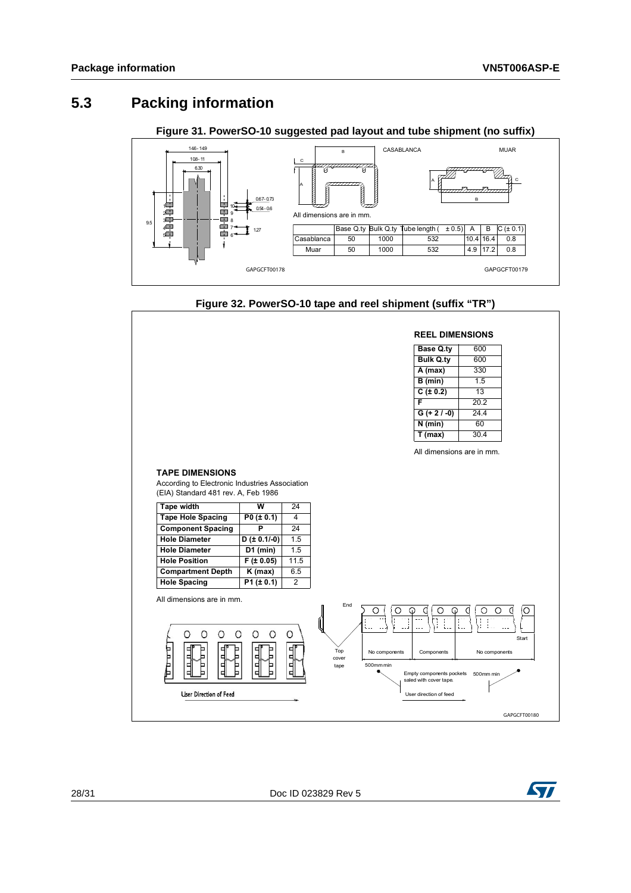#### <span id="page-27-0"></span>**5.3 Packing information**

**Figure 31. PowerSO-10 suggested pad layout and tube shipment (no suffix)**

<span id="page-27-1"></span>

#### **Figure 32. PowerSO-10 tape and reel shipment (suffix "TR")**

<span id="page-27-2"></span>

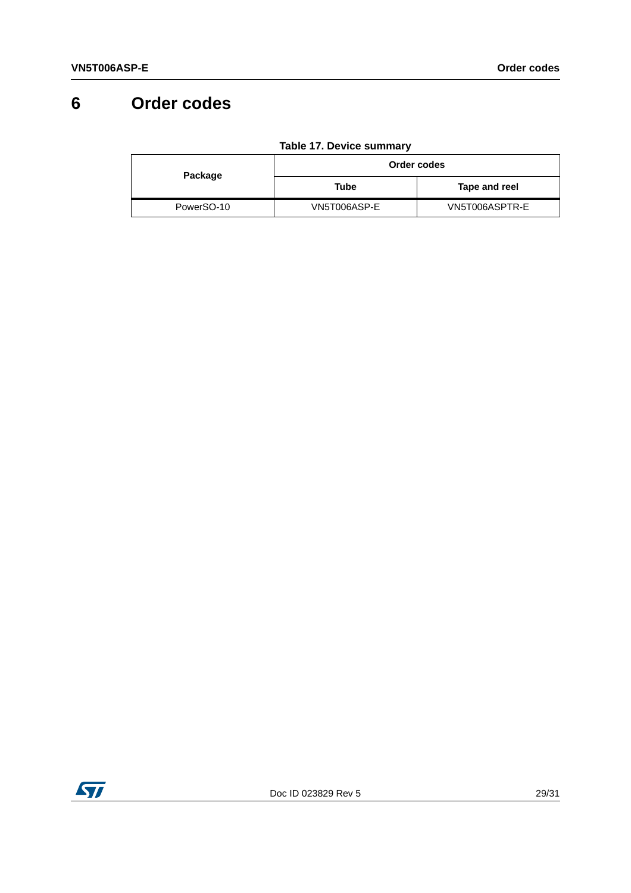# <span id="page-28-0"></span>**6 Order codes**

<span id="page-28-1"></span>

|            | Order codes  |                |  |
|------------|--------------|----------------|--|
| Package    | Tube         | Tape and reel  |  |
| PowerSO-10 | VN5T006ASP-E | VN5T006ASPTR-E |  |

**Table 17. Device summary**

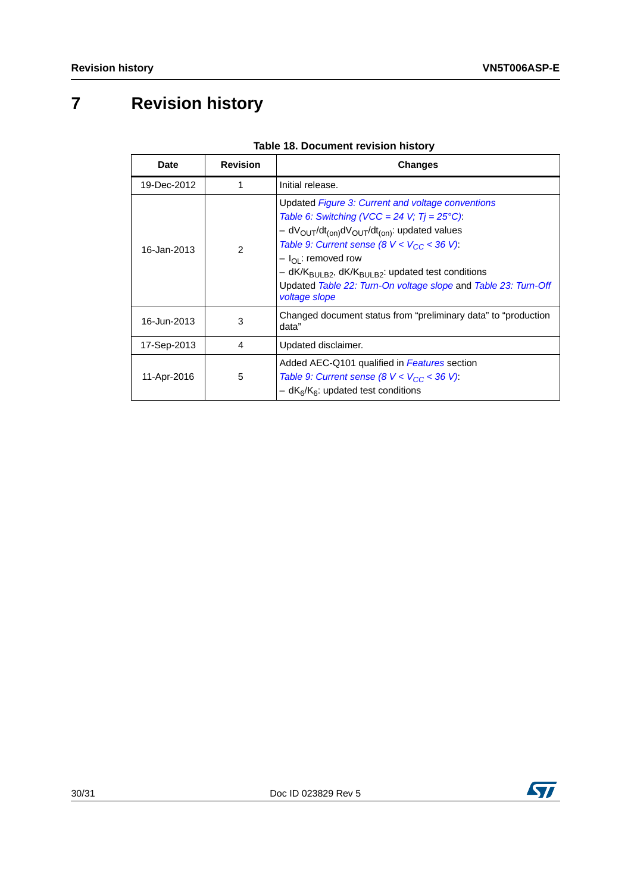# <span id="page-29-0"></span>**7 Revision history**

<span id="page-29-1"></span>

| <b>Date</b> | <b>Revision</b> | <b>Changes</b>                                                                                                                                                                                                                                                                                                                                                                                                                                            |  |
|-------------|-----------------|-----------------------------------------------------------------------------------------------------------------------------------------------------------------------------------------------------------------------------------------------------------------------------------------------------------------------------------------------------------------------------------------------------------------------------------------------------------|--|
| 19-Dec-2012 | 1               | Initial release.                                                                                                                                                                                                                                                                                                                                                                                                                                          |  |
| 16-Jan-2013 | $\mathfrak{p}$  | Updated Figure 3: Current and voltage conventions<br>Table 6: Switching (VCC = 24 V; $Tj = 25^{\circ}C$ ):<br>$- dV_{\text{OUT}}/dt_{\text{(on)}}dV_{\text{OUT}}/dt_{\text{(on)}}$ : updated values<br>Table 9: Current sense (8 $V < V_{CC}$ < 36 V):<br>- I <sub>OI</sub> : removed row<br>- dK/K <sub>BULB2</sub> , dK/K <sub>BULB2</sub> : updated test conditions<br>Updated Table 22: Turn-On voltage slope and Table 23: Turn-Off<br>voltage slope |  |
| 16-Jun-2013 | 3               | Changed document status from "preliminary data" to "production<br>data"                                                                                                                                                                                                                                                                                                                                                                                   |  |
| 17-Sep-2013 | 4               | Updated disclaimer.                                                                                                                                                                                                                                                                                                                                                                                                                                       |  |
| 11-Apr-2016 | 5               | Added AEC-Q101 qualified in Features section<br>Table 9: Current sense (8 $V < V_{CC} < 36 V$ ):<br>$- dK_6/K_6$ : updated test conditions                                                                                                                                                                                                                                                                                                                |  |

#### **Table 18. Document revision history**